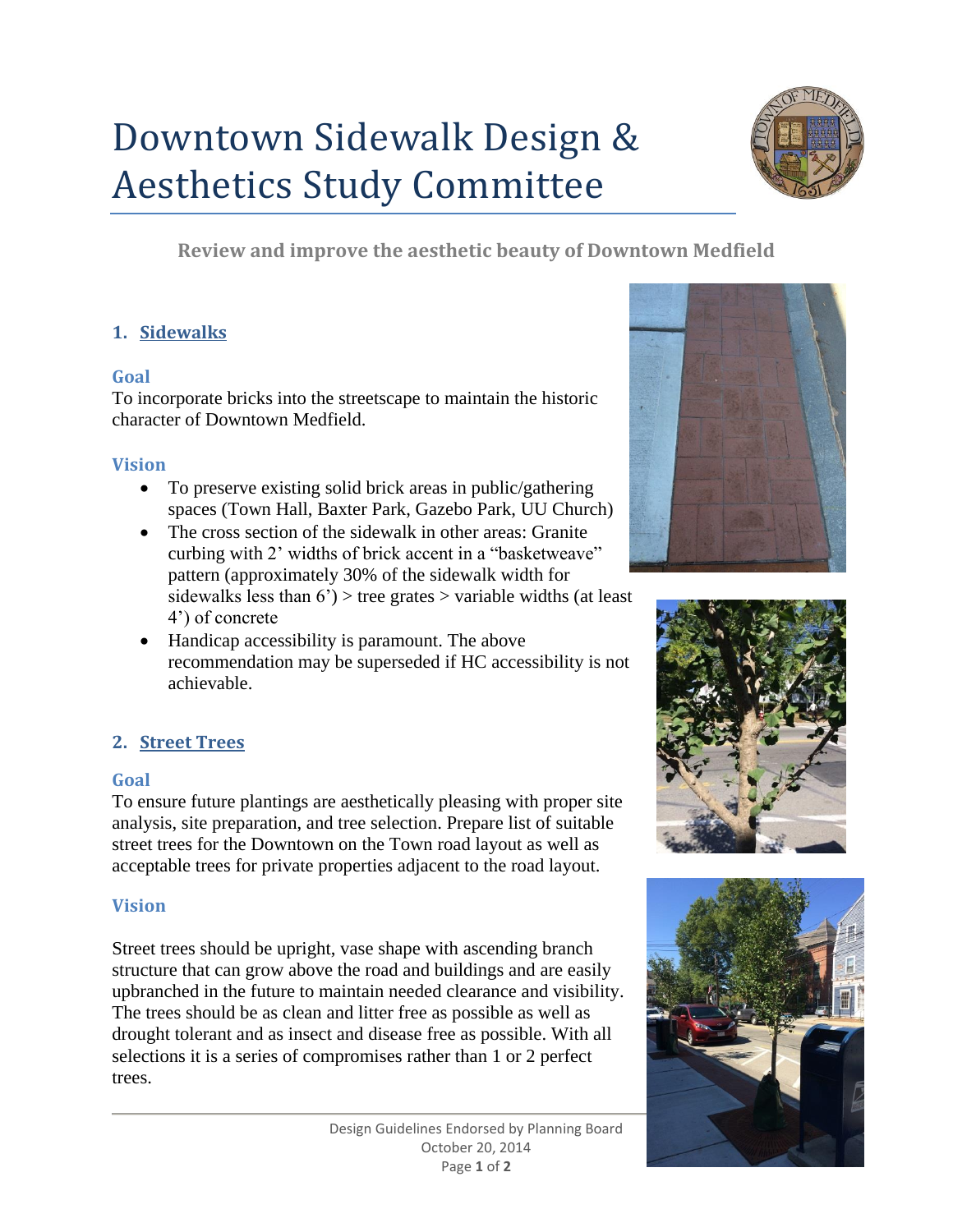# Downtown Sidewalk Design & Aesthetics Study Committee



**Review and improve the aesthetic beauty of Downtown Medfield**

# **1. Sidewalks**

#### **Goal**

To incorporate bricks into the streetscape to maintain the historic character of Downtown Medfield.

#### **Vision**

- To preserve existing solid brick areas in public/gathering spaces (Town Hall, Baxter Park, Gazebo Park, UU Church)
- The cross section of the sidewalk in other areas: Granite curbing with 2' widths of brick accent in a "basketweave" pattern (approximately 30% of the sidewalk width for sidewalks less than  $6'$ ) > tree grates > variable widths (at least 4') of concrete
- Handicap accessibility is paramount. The above recommendation may be superseded if HC accessibility is not achievable.

# **2. Street Trees**

# **Goal**

To ensure future plantings are aesthetically pleasing with proper site analysis, site preparation, and tree selection. Prepare list of suitable street trees for the Downtown on the Town road layout as well as acceptable trees for private properties adjacent to the road layout.

# **Vision**

Street trees should be upright, vase shape with ascending branch structure that can grow above the road and buildings and are easily upbranched in the future to maintain needed clearance and visibility. The trees should be as clean and litter free as possible as well as drought tolerant and as insect and disease free as possible. With all selections it is a series of compromises rather than 1 or 2 perfect trees.